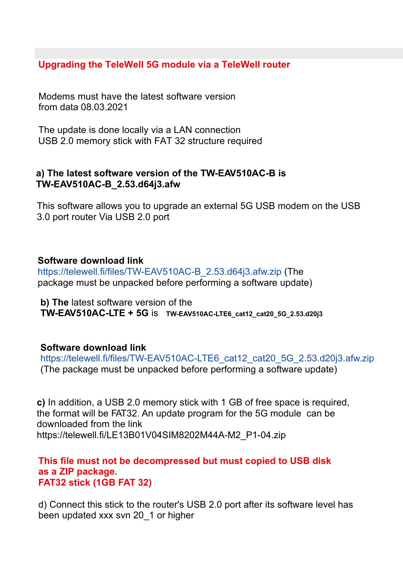**Upgrading the TeleWell 5G module via a TeleWell router**

 Modems must have the latest software version from data 08.03.2021

The update is done locally via a LAN connection USB 2.0 memory stick with FAT 32 structure required

### **a) The latest software version of the TW-EAV510AC-B is TW-EAV510AC-B\_2.53.d64j3.afw**

 This software allows you to upgrade an external 5G USB modem on the USB 3.0 port router Via USB 2.0 port

## **Software download link**

 package must be unpacked before performing a software update) https://telewell.fi/files/TW-EAV510AC-B\_2.53.d64j3.afw.zip (The

**b) The** latest software version of the **TW-EAV510AC-LTE + 5G** is **TW-EAV510AC-LTE6\_cat12\_cat20\_5G\_2.53.d20j3**

#### **Software download link**

https://telewell.fi/files/TW-EAV510AC-LTE6\_cat12\_cat20\_5G\_2.53.d20j3.afw.zip (The package must be unpacked before performing a software update)

 downloaded from the link the format will be FAT32. An update program for the 5G module can be **c)** In addition, a USB 2.0 memory stick with 1 GB of free space is required, https://telewell.fi/LE13B01V04SIM8202M44A-M2\_P1-04.zip

#### **This file must not be decompressed but must copied to USB disk FAT32 stick (1GB FAT 32) as a ZIP package.**

 d) Connect this stick to the router's USB 2.0 port after its software level has been updated xxx svn 20\_1 or higher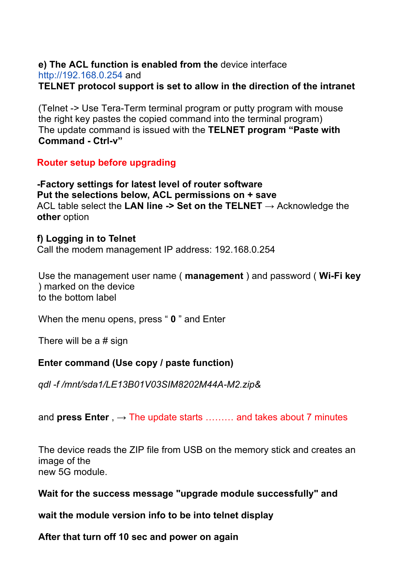#### **e) The ACL function is enabled from the** device interface http://192.168.0.254 and **TELNET protocol support is set to allow in the direction of the intranet**

(Telnet -> Use Tera-Term terminal program or putty program with mouse the right key pastes the copied command into the terminal program) The update command is issued with the **TELNET program "Paste with Command - Ctrl-v"**

## **Router setup before upgrading**

 **-Factory settings for latest level of router software Put the selections below, ACL permissions on + save** ACL table select the **LAN line -> Set on the TELNET** → Acknowledge the **other** option

#### **f) Logging in to Telnet**

Call the modem management IP address: 192.168.0.254

Use the management user name ( **management** ) and password ( **Wi-Fi key** ) marked on the device to the bottom label

When the menu opens, press " **0** " and Enter

There will be a # sign

## **Enter command (Use copy / paste function)**

*qdl -f /mnt/sda1/LE13B01V03SIM8202M44A-M2.zip&*

and **press Enter** ,  $\rightarrow$  The update starts ……… and takes about 7 minutes

The device reads the ZIP file from USB on the memory stick and creates an image of the new 5G module.

## **Wait for the success message "upgrade module successfully" and**

**wait the module version info to be into telnet display**

**After that turn off 10 sec and power on again**